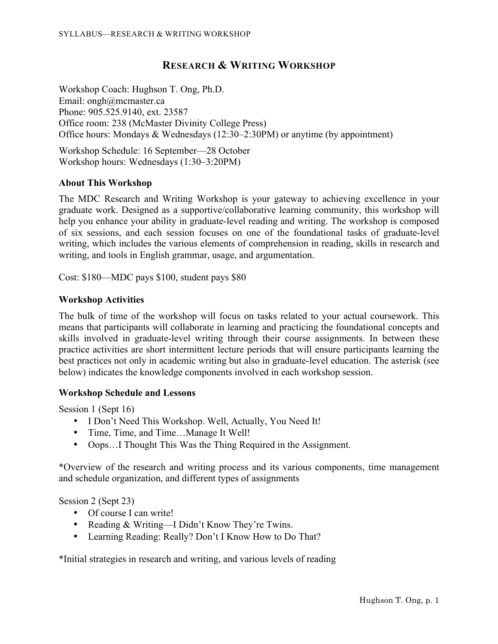# **RESEARCH & WRITING WORKSHOP**

Workshop Coach: Hughson T. Ong, Ph.D. Email: ongh@mcmaster.ca Phone: 905.525.9140, ext. 23587 Office room: 238 (McMaster Divinity College Press) Office hours: Mondays & Wednesdays (12:30–2:30PM) or anytime (by appointment)

Workshop Schedule: 16 September—28 October Workshop hours: Wednesdays (1:30–3:20PM)

## **About This Workshop**

The MDC Research and Writing Workshop is your gateway to achieving excellence in your graduate work. Designed as a supportive/collaborative learning community, this workshop will help you enhance your ability in graduate-level reading and writing. The workshop is composed of six sessions, and each session focuses on one of the foundational tasks of graduate-level writing, which includes the various elements of comprehension in reading, skills in research and writing, and tools in English grammar, usage, and argumentation.

Cost: \$180—MDC pays \$100, student pays \$80

## **Workshop Activities**

The bulk of time of the workshop will focus on tasks related to your actual coursework. This means that participants will collaborate in learning and practicing the foundational concepts and skills involved in graduate-level writing through their course assignments. In between these practice activities are short intermittent lecture periods that will ensure participants learning the best practices not only in academic writing but also in graduate-level education. The asterisk (see below) indicates the knowledge components involved in each workshop session.

## **Workshop Schedule and Lessons**

Session 1 (Sept 16)

- I Don't Need This Workshop. Well, Actually, You Need It!
- Time, Time, and Time...Manage It Well!
- Oops...I Thought This Was the Thing Required in the Assignment.

\*Overview of the research and writing process and its various components, time management and schedule organization, and different types of assignments

Session 2 (Sept 23)

- Of course I can write!
- Reading & Writing—I Didn't Know They're Twins.
- Learning Reading: Really? Don't I Know How to Do That?

\*Initial strategies in research and writing, and various levels of reading